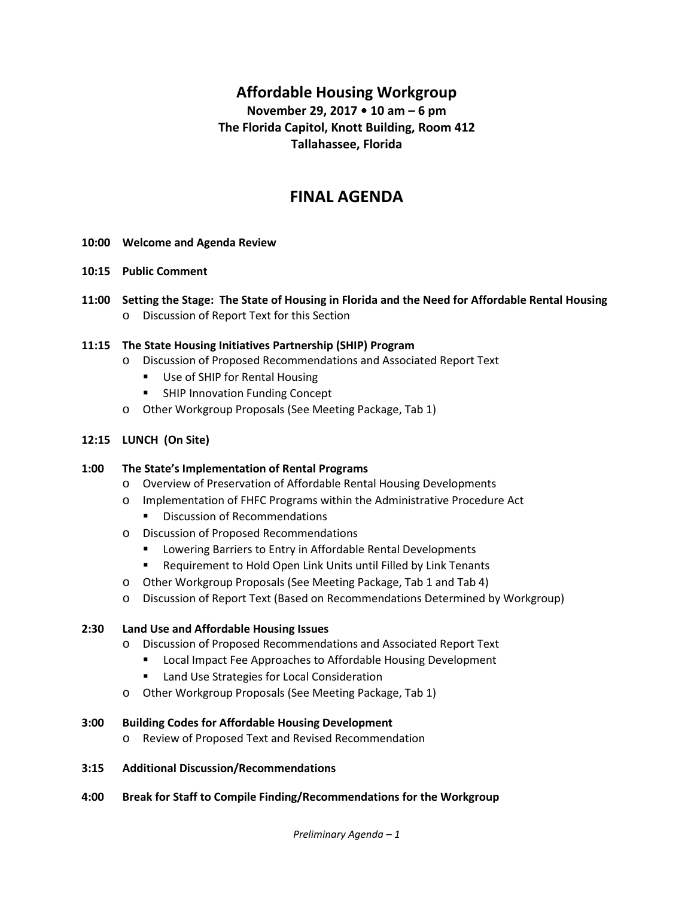# **Affordable Housing Workgroup**

## **November 29, 2017 • 10 am – 6 pm The Florida Capitol, Knott Building, Room 412 Tallahassee, Florida**

# **FINAL AGENDA**

- **10:00 Welcome and Agenda Review**
- **10:15 Public Comment**
- **11:00 Setting the Stage: The State of Housing in Florida and the Need for Affordable Rental Housing** o Discussion of Report Text for this Section
- **11:15 The State Housing Initiatives Partnership (SHIP) Program**
	- o Discussion of Proposed Recommendations and Associated Report Text
		- Use of SHIP for Rental Housing
		- SHIP Innovation Funding Concept
	- o Other Workgroup Proposals (See Meeting Package, Tab 1)

#### **12:15 LUNCH (On Site)**

#### **1:00 The State's Implementation of Rental Programs**

- o Overview of Preservation of Affordable Rental Housing Developments
- o Implementation of FHFC Programs within the Administrative Procedure Act
	- **•** Discussion of Recommendations
- o Discussion of Proposed Recommendations
	- **EXEDENT ENTER CONTER IS A LOCATE THE ENTIRYMENT PETE** Lowering Barriers to Entry in Affordable Rental Developments
	- Requirement to Hold Open Link Units until Filled by Link Tenants
- o Other Workgroup Proposals (See Meeting Package, Tab 1 and Tab 4)
- o Discussion of Report Text (Based on Recommendations Determined by Workgroup)

#### **2:30 Land Use and Affordable Housing Issues**

- o Discussion of Proposed Recommendations and Associated Report Text
	- **E** Local Impact Fee Approaches to Affordable Housing Development
	- **E** Land Use Strategies for Local Consideration
- o Other Workgroup Proposals (See Meeting Package, Tab 1)

#### **3:00 Building Codes for Affordable Housing Development**

- o Review of Proposed Text and Revised Recommendation
- **3:15 Additional Discussion/Recommendations**
- **4:00 Break for Staff to Compile Finding/Recommendations for the Workgroup**